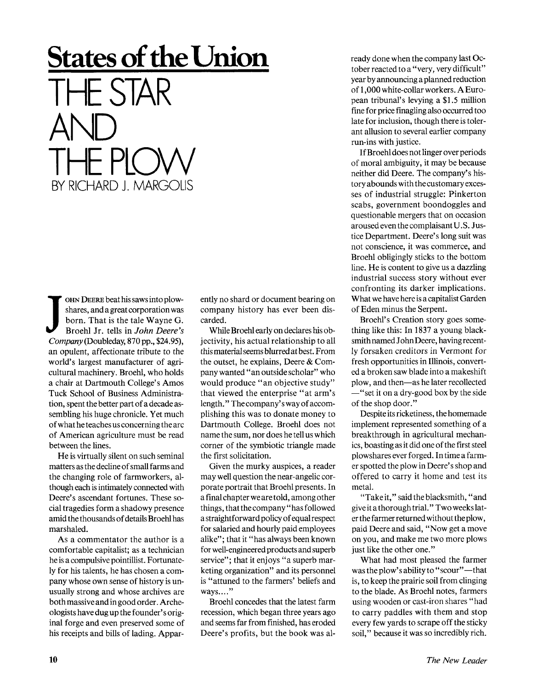## **States of the Union**  THE STAR AND THE PLOW BY RICHARD J. MARGOLIS

SIN DEER COLLES SUBSTRIPTED NAMED FOR STRING SUPPORT SHOWS HOTEL.<br>
Broehl Jr. tells in *John Deere's*<br> *Company* (Doubleday, 870 pp., \$24.95), OHN DEERE beat his saws into plowshares, and a great corporation was born. That is the tale Wayne G. Broehl Jr. tells in *John Deere's*  an opulent, affectionate tribute to the world's largest manufacturer of agricultural machinery. Broehl, who holds a chair at Dartmouth College's Amos Tuck School of Business Administration, spent the better part of a decade assembling his huge chronicle. Yet much of what he teaches us concerning the arc of American agriculture must be read between the lines.

He is virtually silent on such seminal matters as the decline of small farms and the changing role of farmworkers, although each is intimately connected with Deere's ascendant fortunes. These social tragedies form a shadowy presence amid the thousands of details Broehl has marshaled.

As a commentator the author is a comfortable capitalist; as a technician he is a compulsive pointillist. Fortunately for his talents, he has chosen a company whose own sense of history is unusually strong and whose archives are both massive and in good order. Archeologists have dug up the founder's original forge and even preserved some of his receipts and bills of lading. Appar-

ently no shard or document bearing on company history has ever been discarded.

While Broehl early on declares his objectivity, his actual relationship to all this material seems blurred at best. From the outset, he explains, Deere & Company wanted "an outside scholar" who would produce "an objective study" that viewed the enterprise "at arm's length." The company's way of accomplishing this was to donate money to Dartmouth College. Broehl does not name the sum, nor does he tell us which corner of the symbiotic triangle made the first solicitation.

Given the murky auspices, a reader may well question the near-angelic corporate portrait that Broehl presents. In a final chapter we are told, among other things, that the company "has followed a straightf orward policy of equal respect for salaried and hourly paid employees alike"; that it "has always been known for well-engineered products and superb service"; that it enjoys "a superb marketing organization" and its personnel is "attuned to the farmers' beliefs and ways...."

Broehl concedes that the latest farm recession, which began three years ago and seems far from finished, has eroded Deere's profits, but the book was already done when the company last October reacted to a "very, very difficult" year by announcing a planned reduction of 1,000 white-collar workers. A European tribunal's levying a \$1.5 million fine for price finagling also occurred too late for inclusion, though there is tolerant allusion to several earlier company run-ins with justice.

If Broehl does not linger over periods of moral ambiguity, it may be because neither did Deere. The company's history abounds with the customary excesses of industrial struggle: Pinkerton scabs, government boondoggles and questionable mergers that on occasion aroused even the complaisantU.S. Justice Department. Deere's long suit was not conscience, it was commerce, and Broehl obligingly sticks to the bottom line. He is content to give us a dazzling industrial success story without ever confronting its darker implications. What we have here is a capitalist Garden of Eden minus the Serpent.

Broehl's Creation story goes something like this: In 1837 a young blacksmith named John Deere, having recently forsaken creditors in Vermont for fresh opportunities in Illinois, converted a broken saw blade into a makeshift plow, and then—as he later recollected —"set it on a dry-good box by the side of the shop door."

Despite its ricketiness, the homemade implement represented something of a breakthrough in agricultural mechanics, boasting as it did one of the first steel plowshares ever forged. In time a farmer spotted the plow in Deere's shop and offered to carry it home and test its metal.

"Takeit," said the blacksmith, "and give it a thorough trial." Two weeks later the farmer returned without the plow, paid Deere and said, "Now get a move on you, and make me two more plows just like the other one."

What had most pleased the farmer was the plow's ability to "scour"—that is, to keep the prairie soil from clinging to the blade. As Broehl notes, farmers using wooden or cast-iron shares "had to carry paddles with them and stop every few yards to scrape off the sticky soil," because it was so incredibly rich.